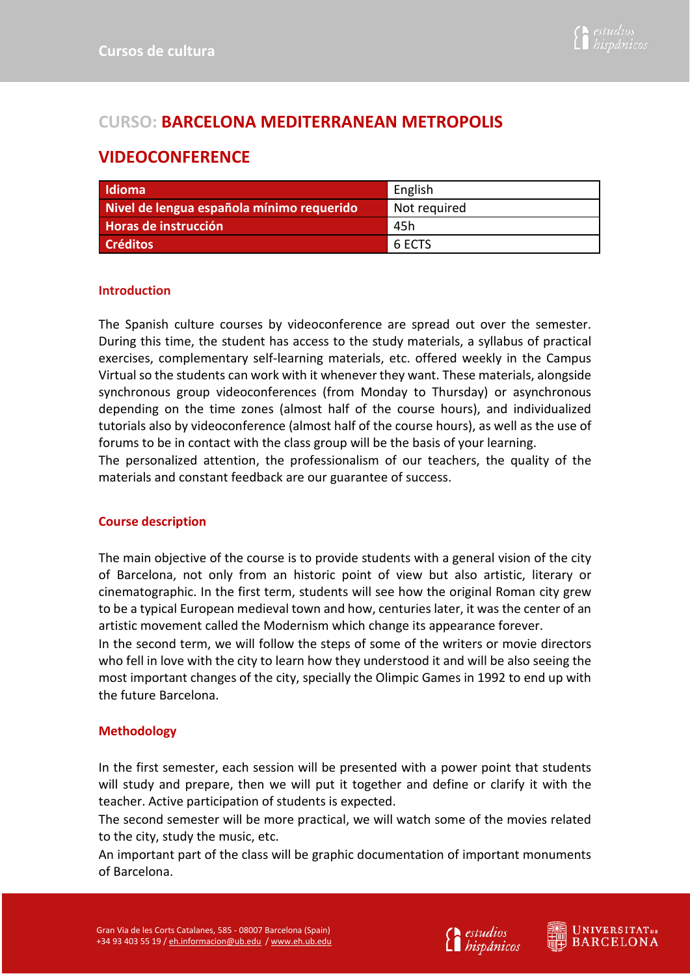# **CURSO: BARCELONA MEDITERRANEAN METROPOLIS**

# **VIDEOCONFERENCE**

| <b>Idioma</b>                             | English      |
|-------------------------------------------|--------------|
| Nivel de lengua española mínimo requerido | Not required |
| Horas de instrucción                      | -45h         |
| <b>Créditos</b>                           | 6 ECTS       |

### **Introduction**

The Spanish culture courses by videoconference are spread out over the semester. During this time, the student has access to the study materials, a syllabus of practical exercises, complementary self-learning materials, etc. offered weekly in the Campus Virtual so the students can work with it whenever they want. These materials, alongside synchronous group videoconferences (from Monday to Thursday) or asynchronous depending on the time zones (almost half of the course hours), and individualized tutorials also by videoconference (almost half of the course hours), as well as the use of forums to be in contact with the class group will be the basis of your learning.

The personalized attention, the professionalism of our teachers, the quality of the materials and constant feedback are our guarantee of success.

## **Course description**

The main objective of the course is to provide students with a general vision of the city of Barcelona, not only from an historic point of view but also artistic, literary or cinematographic. In the first term, students will see how the original Roman city grew to be a typical European medieval town and how, centuries later, it was the center of an artistic movement called the Modernism which change its appearance forever.

In the second term, we will follow the steps of some of the writers or movie directors who fell in love with the city to learn how they understood it and will be also seeing the most important changes of the city, specially the Olimpic Games in 1992 to end up with the future Barcelona.

## **Methodology**

In the first semester, each session will be presented with a power point that students will study and prepare, then we will put it together and define or clarify it with the teacher. Active participation of students is expected.

The second semester will be more practical, we will watch some of the movies related to the city, study the music, etc.

An important part of the class will be graphic documentation of important monuments of Barcelona.